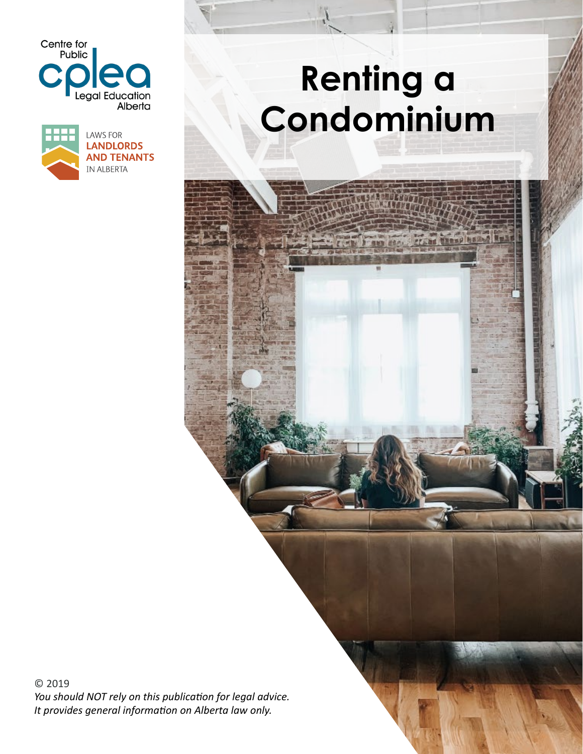



# **Renting a Condominium**

© 2019 *You should NOT rely on this publication for legal advice. It provides general information on Alberta law only.*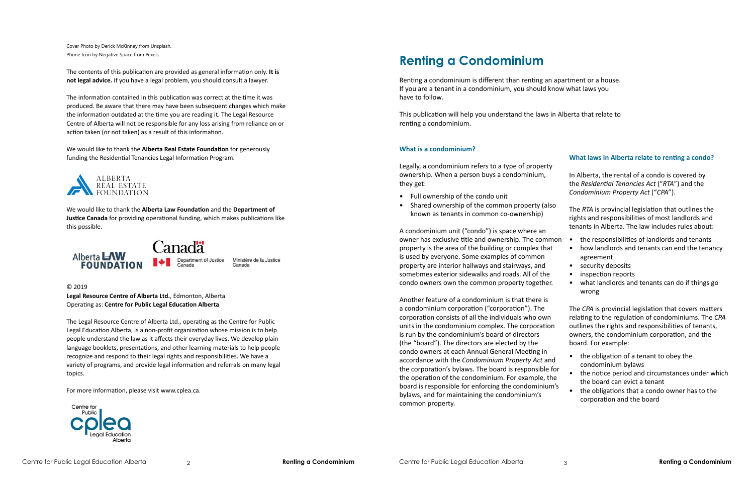Cover Photo by Derick McKinney from Unsplash. Phone Icon by Negative Space from Pexels.

The contents of this publication are provided as general information only. **It is not legal advice.** If you have a legal problem, you should consult a lawyer.

The information contained in this publication was correct at the time it was produced. Be aware that there may have been subsequent changes which make the information outdated at the time you are reading it. The Legal Resource Centre of Alberta will not be responsible for any loss arising from reliance on or action taken (or not taken) as a result of this information.

We would like to thank the **Alberta Real Estate Foundation** for generously funding the Residential Tenancies Legal Information Program.



We would like to thank the **Alberta Law Foundation** and the **Department of Justice Canada** for providing operational funding, which makes publications like this possible.



© 2019

**Legal Resource Centre of Alberta Ltd.**, Edmonton, Alberta Operating as: **Centre for Public Legal Education Alberta**

The Legal Resource Centre of Alberta Ltd., operating as the Centre for Public Legal Education Alberta, is a non-profit organization whose mission is to help people understand the law as it affects their everyday lives. We develop plain language booklets, presentations, and other learning materials to help people recognize and respond to their legal rights and responsibilities. We have a variety of programs, and provide legal information and referrals on many legal topics.

For more information, please visit www.cplea.ca.



### **What is a condominium?**

Legally, a condominium refers to a type of property ownership. When a person buys a condominium, they get:

- Full ownership of the condo unit
- Shared ownership of the common property (also known as tenants in common co-ownership)

A condominium unit ("condo") is space where an owner has exclusive title and ownership. The common property is the area of the building or complex that is used by everyone. Some examples of common property are interior hallways and stairways, and sometimes exterior sidewalks and roads. All of the condo owners own the common property together.

Another feature of a condominium is that there is a condominium corporation ("corporation"). The corporation consists of all the individuals who own units in the condominium complex. The corporation is run by the condominium's board of directors (the "board"). The directors are elected by the condo owners at each Annual General Meeting in accordance with the *Condominium Property Act* and the corporation's bylaws. The board is responsible for the operation of the condominium. For example, the board is responsible for enforcing the condominium's bylaws, and for maintaining the condominium's common property.

### **What laws in Alberta relate to renting a condo?**

In Alberta, the rental of a condo is covered by the *Residential Tenancies Act* ("*RTA*") and the *Condominium Property Act* ("*CPA*").

The *RTA* is provincial legislation that outlines the rights and responsibilities of most landlords and tenants in Alberta. The law includes rules about:

- the responsibilities of landlords and tenants
	- how landlords and tenants can end the tenancy agreement
	- security deposits
	- inspection reports
	- what landlords and tenants can do if things go wrong

The *CPA* is provincial legislation that covers matters relating to the regulation of condominiums. The *CPA*  outlines the rights and responsibilities of tenants, owners, the condominium corporation, and the board. For example:

- the obligation of a tenant to obey the condominium bylaws
- the notice period and circumstances under which the board can evict a tenant
- the obligations that a condo owner has to the corporation and the board

## **Renting a Condominium**

Renting a condominium is different than renting an apartment or a house. If you are a tenant in a condominium, you should know what laws you have to follow.

This publication will help you understand the laws in Alberta that relate to renting a condominium.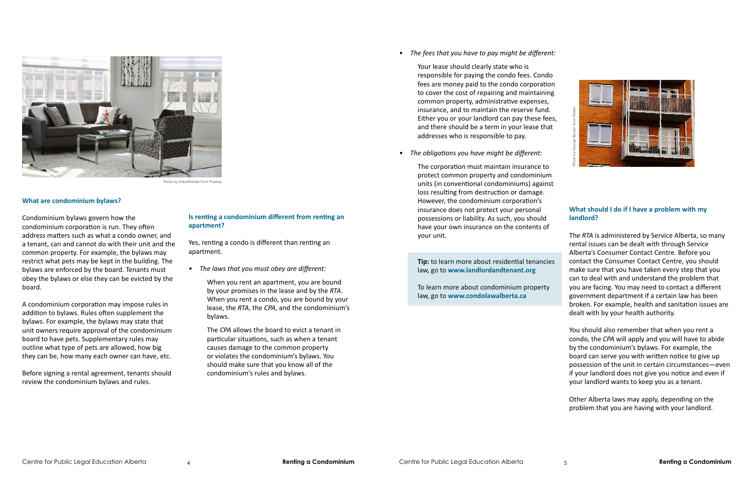#### **What are condominium bylaws?**

*• The fees that you have to pay might be different:*

Your lease should clearly state who is responsible for paying the condo fees. Condo fees are money paid to the condo corporation to cover the cost of repairing and maintaining common property, administrative expenses, insurance, and to maintain the reserve fund. Either you or your landlord can pay these fees, and there should be a term in your lease that addresses who is responsible to pay.

*• The obligations you have might be different:*

The corporation must maintain insurance to protect common property and condominium units (in conventional condominiums) against loss resulting from destruction or damage. However, the condominium corporation's insurance does not protect your personal possessions or liability. As such, you should have your own insurance on the contents of your unit.

**Tip:** to learn more about residential tenancies law, go to **www.landlordandtenant.org**

To learn more about condominium property law, go to **www.condolawalberta.ca**

### **What should I do if I have a problem with my landlord?**

The *RTA* is administered by Service Alberta, so many rental issues can be dealt with through Service Alberta's Consumer Contact Centre. Before you contact the Consumer Contact Centre, you should make sure that you have taken every step that you can to deal with and understand the problem that you are facing. You may need to contact a different government department if a certain law has been broken. For example, health and sanitation issues are dealt with by your health authority.

You should also remember that when you rent a condo, the *CPA* will apply and you will have to abide by the condominium's bylaws. For example, the board can serve you with written notice to give up possession of the unit in certain circumstances—even if your landlord does not give you notice and even if your landlord wants to keep you as a tenant.

Other Alberta laws may apply, depending on the problem that you are having with your landlord.

### **Is renting a condominium different from renting an apartment?**

Yes, renting a condo is different than renting an apartment.

- *• The laws that you must obey are different:*
	- When you rent an apartment, you are bound by your promises in the lease and by the *RTA*. When you rent a condo, you are bound by your lease, the *RTA*, the *CPA*, and the condominium's bylaws.

The *CPA* allows the board to evict a tenant in particular situations, such as when a tenant causes damage to the common property or violates the condominium's bylaws. You should make sure that you know all of the condominium's rules and bylaws.

Condominium bylaws govern how the condominium corporation is run. They often address matters such as what a condo owner, and a tenant, can and cannot do with their unit and the common property. For example, the bylaws may restrict what pets may be kept in the building. The bylaws are enforced by the board. Tenants must obey the bylaws or else they can be evicted by the board.

A condominium corporation may impose rules in addition to bylaws. Rules often supplement the bylaws. For example, the bylaws may state that unit owners require approval of the condominium board to have pets. Supplementary rules may outline what type of pets are allowed, how big they can be, how many each owner can have, etc.

Before signing a rental agreement, tenants should review the condominium bylaws and rules.



Photo by ErikaWittlieb from Pixabay

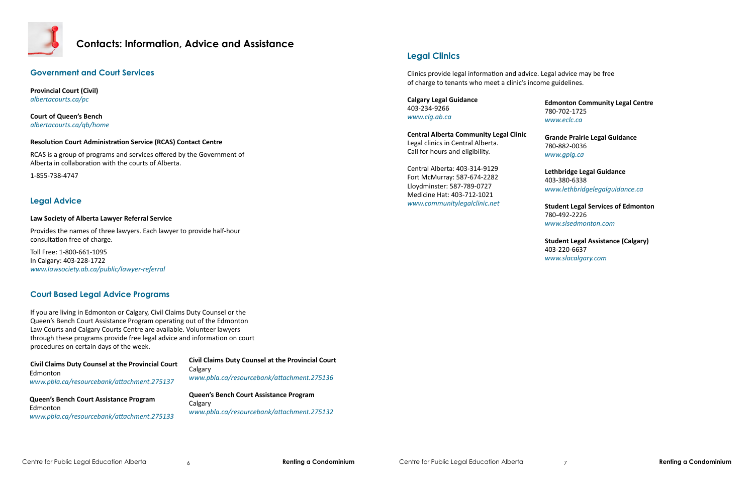

### **Contacts: Information, Advice and Assistance**

### **Legal Clinics**

**Community Legal Centre** 780-702-1725 *www.eclc.ca*

**Lethbridge Legal Guidance** 403-380-6338 w.lethbridgelegalguidance.ca

Clinics provide legal information and advice. Legal advice may be free of charge to tenants who meet a clinic's income guidelines.

> **Statuber Legal Services of Edmonton** 780-492-2226

**Grande Prairie Legal Guidance** 780-882-0036 *www.gplg.ca*

*www.slsedmonton.com*

**Student Legal Assistance (Calgary)**  403-220-6637 *www.slacalgary.com*

| <b>Calgary Legal Guidance</b><br>403-234-9266<br>www.clg.ab.ca                                                           | Edm<br>780-<br><b>WWW</b>         |
|--------------------------------------------------------------------------------------------------------------------------|-----------------------------------|
| <b>Central Alberta Community Legal Clinic</b><br>Legal clinics in Central Alberta.<br>Call for hours and eligibility.    | Gran<br>780-<br><b>WWW</b>        |
| Central Alberta: 403-314-9129<br>Fort McMurray: 587-674-2282<br>Lloydminster: 587-789-0727<br>Medicine Hat: 403-712-1021 | Leth<br>403-<br><b>WWW</b>        |
| www.communitylegalclinic.net                                                                                             | <b>Stud</b><br>780-<br><b>WWW</b> |
|                                                                                                                          | <b>Stud</b><br>403-               |

### **Government and Court Services**

**Provincial Court (Civil)** *albertacourts.ca/pc*

**Court of Queen's Bench** *albertacourts.ca/qb/home*

### **Resolution Court Administration Service (RCAS) Contact Centre**

RCAS is a group of programs and services offered by the Government of Alberta in collaboration with the courts of Alberta.

1-855-738-4747

### **Legal Advice**

### **Law Society of Alberta Lawyer Referral Service**

Provides the names of three lawyers. Each lawyer to provide half-hour consultation free of charge.

Toll Free: 1-800-661-1095 In Calgary: 403-228-1722 *www.lawsociety.ab.ca/public/lawyer-referral*

### **Court Based Legal Advice Programs**

If you are living in Edmonton or Calgary, Civil Claims Duty Counsel or the Queen's Bench Court Assistance Program operating out of the Edmonton Law Courts and Calgary Courts Centre are available. Volunteer lawyers through these programs provide free legal advice and information on court procedures on certain days of the week.

| <b>Civil Claims Duty Counsel at the Provincial Court</b> |
|----------------------------------------------------------|
| Edmonton<br>www.pbla.ca/resourcebank/attachment.275137   |
| Queen's Bench Court Assistance Program                   |

Edmonton *www.pbla.ca/resourcebank/attachment.275133*  **Civil Claims Duty Counsel at the Provincial Court Calgary** *www.pbla.ca/resourcebank/attachment.275136*

**Queen's Bench Court Assistance Program Calgary** *www.pbla.ca/resourcebank/attachment.275132*